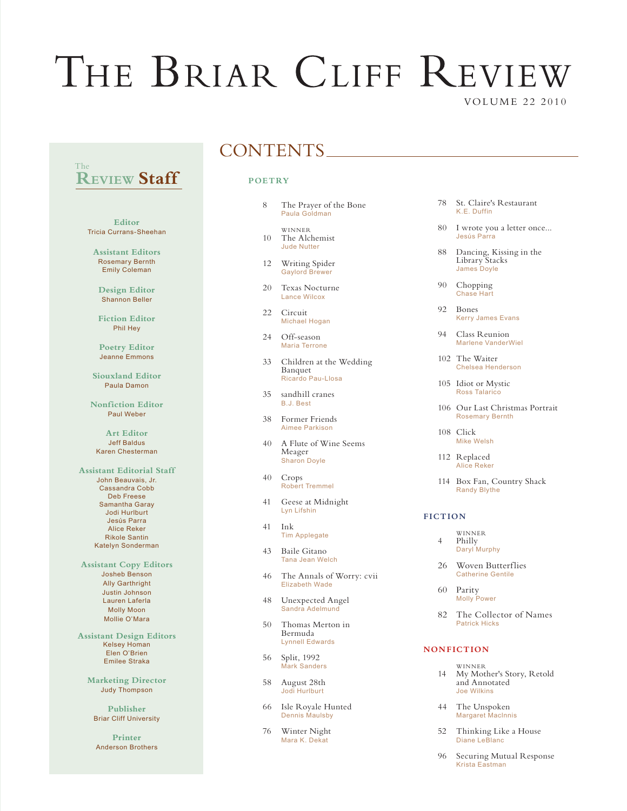# THE BRIAR CLIFF REVIEW VOLUME 22 2010

### **REVIEW Staff** The

**Editor** Tricia Currans-Sheehan

**Assistant Editors** Rosemary Bernth Emily Coleman

**Design Editor** Shannon Beller

**Fiction Editor** Phil Hey

**Poetry Editor** Jeanne Emmons

**Siouxland Editor** Paula Damon

**Nonfiction Editor** Paul Weber

**Art Editor** Jeff Baldus Karen Chesterman

**Assistant Editorial Staff** John Beauvais, Jr. Cassandra Cobb Deb Freese Samantha Garay Jodi Hurlburt Jesús Parra Alice Reker Rikole Santin Katelyn Sonderman

**Assistant Copy Editors** Josheb Benson Ally Garthright Justin Johnson Lauren Laferla Molly Moon Mollie O'Mara

**Assistant Design Editors** Kelsey Homan Elen O'Brien Emilee Straka

**Marketing Director** Judy Thompson

**Publisher** Briar Cliff University

**Printer** Anderson Brothers

## CONTENTS

#### **POET RY**

- 8 The Prayer of the Bone Paula Goldman
- **WINNER** 10 The Alchemist  $\frac{10}{2}$  Jude Nutter
- 12 Writing Spider Gaylord Brewer
- 20 Texas Nocturne Lance Wilcox
- 22 Circuit Michael Hogan
- 24 Off-season Maria Terrone
- 33 Children at the Wedding Banquet Ricardo Pau-Llosa
- 35 sandhill cranes B.J. Best
- 38 Former Friends Aimee Parkison
- 40 A Flute of Wine Seems Meager Sharon Doyle
- 40 Crops Robert Tremmel
- 41 Geese at Midnight Lyn Lifshin
- 41 Ink Tim Applegate
- 43 Baile Gitano Tana Jean Welch
- 46 The Annals of Worry: cvii Elizabeth Wade
- 48 Unexpected Angel Sandra Adelmund
- 50 Thomas Merton in Bermuda Lynnell Edwards
- 56 Split, 1992 Mark Sanders
- 58 August 28th Jodi Hurlburt
- 66 Isle Royale Hunted Dennis Maulsby
- 76 Winter Night Mara K. Dekat
- 78 St. Claire's Restaurant K.E. Duffin
- 80 I wrote you a letter once... Jesús Parra
- 88 Dancing, Kissing in the Library Stacks James Doyle
- 90 Chopping Chase Hart
- 92 Bones Kerry James Evans
- 94 Class Reunion Marlene VanderWiel
- 102 The Waiter Chelsea Henderson
- 105 Idiot or Mystic Ross Talarico
- 106 Our Last Christmas Portrait Rosemary Bernth
- 108 Click Mike Welsh
- 112 Replaced Alice Reker
- 114 Box Fan, Country Shack Randy Blythe

#### **FICTION**

- WINNER<br>4 Philly Philly Daryl Murphy
- 26 Woven Butterflies Catherine Gentile
- 60 Parity Molly Power
- 82 The Collector of Names Patrick Hicks

#### **NONFICTION**

- WINNER<br>14 My Mot My Mother's Story, Retold and Annotated Joe Wilkins
- 44 The Unspoken Margaret Maclnnis
- 52 Thinking Like a House Diane LeBlanc
- 96 Securing Mutual Response Krista Eastman